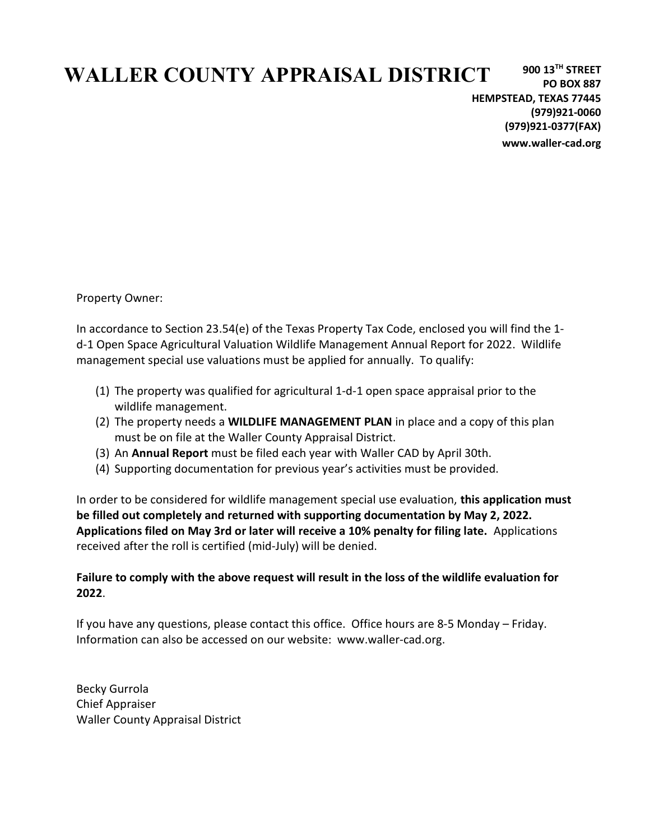# WALLER COUNTY APPRAISAL DISTRICT

900 13TH STREET PO BOX 887 HEMPSTEAD, TEXAS 77445 (979)921-0060 (979)921-0377(FAX) www.waller-cad.org

Property Owner:

In accordance to Section 23.54(e) of the Texas Property Tax Code, enclosed you will find the 1 d-1 Open Space Agricultural Valuation Wildlife Management Annual Report for 2022. Wildlife management special use valuations must be applied for annually. To qualify:

- (1) The property was qualified for agricultural 1-d-1 open space appraisal prior to the wildlife management.
- (2) The property needs a **WILDLIFE MANAGEMENT PLAN** in place and a copy of this plan must be on file at the Waller County Appraisal District.
- (3) An Annual Report must be filed each year with Waller CAD by April 30th.
- (4) Supporting documentation for previous year's activities must be provided.

In order to be considered for wildlife management special use evaluation, this application must be filled out completely and returned with supporting documentation by May 2, 2022. Applications filed on May 3rd or later will receive a 10% penalty for filing late. Applications received after the roll is certified (mid-July) will be denied.

## Failure to comply with the above request will result in the loss of the wildlife evaluation for 2022.

If you have any questions, please contact this office. Office hours are 8-5 Monday – Friday. Information can also be accessed on our website: www.waller-cad.org.

Becky Gurrola Chief Appraiser Waller County Appraisal District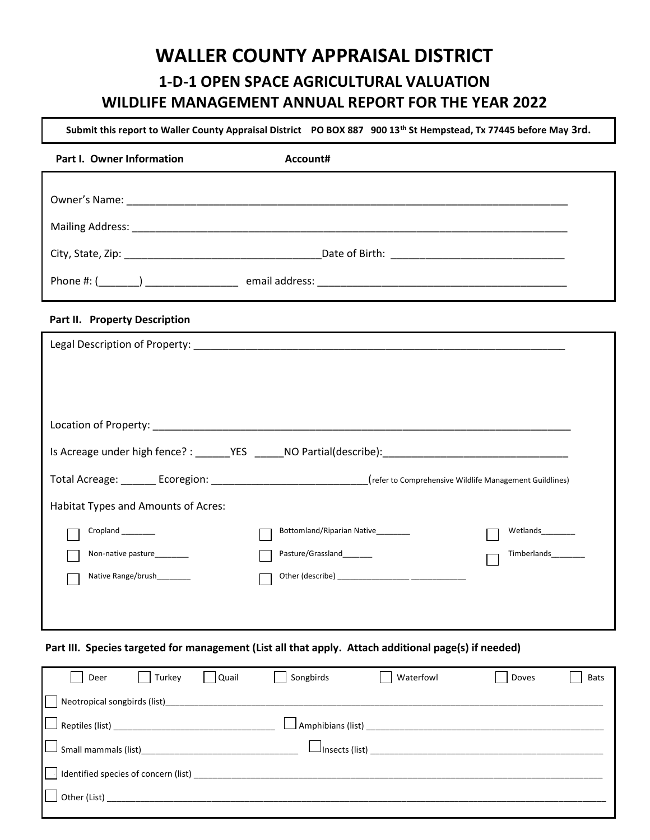# 1-D-1 OPEN SPACE AGRICULTURAL VALUATION WILDLIFE MANAGEMENT ANNUAL REPORT FOR THE YEAR 2022 WALLER COUNTY APPRAISAL DISTRICT

Submit this report to Waller County Appraisal District PO BOX 887 900 13<sup>th</sup> St Hempstead, Tx 77445 before May 3rd.

| Part I. Owner Information           | Account#                                                                                                                  |  |
|-------------------------------------|---------------------------------------------------------------------------------------------------------------------------|--|
|                                     |                                                                                                                           |  |
|                                     |                                                                                                                           |  |
|                                     |                                                                                                                           |  |
|                                     |                                                                                                                           |  |
| Part II. Property Description       |                                                                                                                           |  |
|                                     |                                                                                                                           |  |
|                                     |                                                                                                                           |  |
|                                     |                                                                                                                           |  |
|                                     |                                                                                                                           |  |
|                                     |                                                                                                                           |  |
|                                     | Total Acreage: ________ Ecoregion: _______________________________(refer to Comprehensive Wildlife Management Guildlines) |  |
| Habitat Types and Amounts of Acres: |                                                                                                                           |  |
| Cropland _______                    | Bottomland/Riparian Native_______<br>Wetlands________                                                                     |  |
| Non-native pasture_______           | Pasture/Grassland_______<br>Timberlands_________                                                                          |  |
| Native Range/brush________          |                                                                                                                           |  |
|                                     |                                                                                                                           |  |
|                                     |                                                                                                                           |  |

### Part III. Species targeted for management (List all that apply. Attach additional page(s) if needed)

| Deer<br>Turkey                                     | Quail | Songbirds                                  | Waterfowl             | Doves | <b>Bats</b> |
|----------------------------------------------------|-------|--------------------------------------------|-----------------------|-------|-------------|
| Neotropical songbirds (list)_________________      |       |                                            |                       |       |             |
|                                                    |       | $\rfloor$ Amphibians (list) ______________ |                       |       |             |
|                                                    |       |                                            | $\Box$ Insects (list) |       |             |
| $\parallel$   Identified species of concern (list) |       |                                            |                       |       |             |
| $\Box$ Other (List)                                |       |                                            |                       |       |             |
|                                                    |       |                                            |                       |       |             |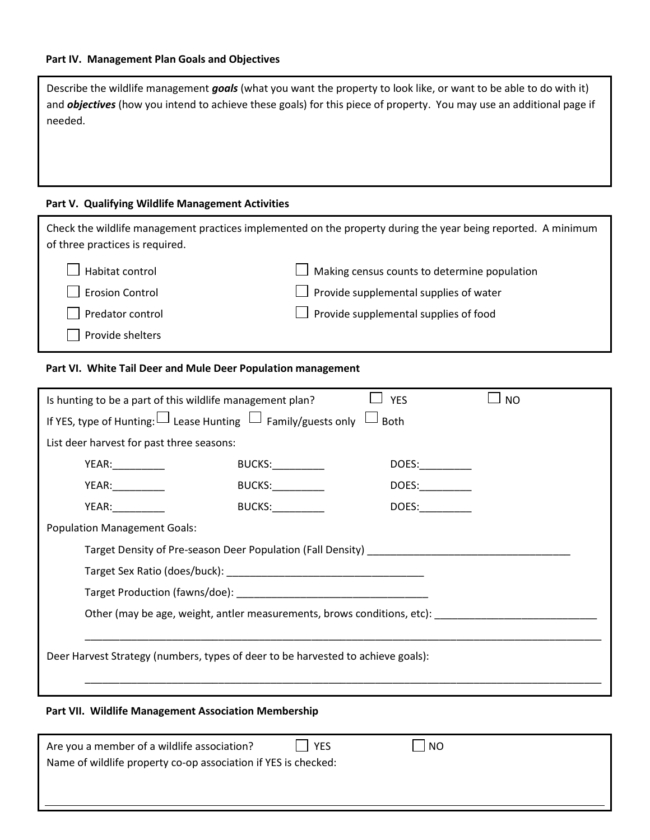Describe the wildlife management goals (what you want the property to look like, or want to be able to do with it) and **objectives** (how you intend to achieve these goals) for this piece of property. You may use an additional page if needed.

#### Part V. Qualifying Wildlife Management Activities

| of three practices is required.                                                                                                                                                                                                                 | Check the wildlife management practices implemented on the property during the year being reported. A minimum                                                   |  |  |
|-------------------------------------------------------------------------------------------------------------------------------------------------------------------------------------------------------------------------------------------------|-----------------------------------------------------------------------------------------------------------------------------------------------------------------|--|--|
| Habitat control                                                                                                                                                                                                                                 | Making census counts to determine population                                                                                                                    |  |  |
| <b>Erosion Control</b>                                                                                                                                                                                                                          | Provide supplemental supplies of water                                                                                                                          |  |  |
| Predator control                                                                                                                                                                                                                                | Provide supplemental supplies of food                                                                                                                           |  |  |
| Provide shelters                                                                                                                                                                                                                                |                                                                                                                                                                 |  |  |
| Part VI. White Tail Deer and Mule Deer Population management                                                                                                                                                                                    |                                                                                                                                                                 |  |  |
| Is hunting to be a part of this wildlife management plan?                                                                                                                                                                                       | <b>YES</b><br><b>NO</b>                                                                                                                                         |  |  |
| If YES, type of Hunting: $\square$ Lease Hunting $\square$ Family/guests only $\square$                                                                                                                                                         | Both                                                                                                                                                            |  |  |
| List deer harvest for past three seasons:                                                                                                                                                                                                       |                                                                                                                                                                 |  |  |
| <b>BUCKS:__________</b><br>YEAR:__________                                                                                                                                                                                                      | DOES:_________                                                                                                                                                  |  |  |
| <b>BUCKS:__________</b><br>YEAR: VERSION                                                                                                                                                                                                        | DOES:_________                                                                                                                                                  |  |  |
| <b>BUCKS:</b><br>YEAR: The contract of the contract of the contract of the contract of the contract of the contract of the contract of the contract of the contract of the contract of the contract of the contract of the contract of the cont | DOES:                                                                                                                                                           |  |  |
| <b>Population Management Goals:</b>                                                                                                                                                                                                             |                                                                                                                                                                 |  |  |
|                                                                                                                                                                                                                                                 | Target Density of Pre-season Deer Population (Fall Density) Lawrence Communisty                                                                                 |  |  |
|                                                                                                                                                                                                                                                 |                                                                                                                                                                 |  |  |
| Target Production (fawns/doe): North Care and Care and Care and Care and Care and Care and Care and Care and C                                                                                                                                  |                                                                                                                                                                 |  |  |
|                                                                                                                                                                                                                                                 | Other (may be age, weight, antler measurements, brows conditions, etc): [100] [10] [10] Other (may be age, weight, antler measurements, brows conditions, etc): |  |  |
| Deer Harvest Strategy (numbers, types of deer to be harvested to achieve goals):                                                                                                                                                                |                                                                                                                                                                 |  |  |

### Part VII. Wildlife Management Association Membership

| Are you a member of a wildlife association?                    | <b>YES</b> | NO |  |
|----------------------------------------------------------------|------------|----|--|
| Name of wildlife property co-op association if YES is checked: |            |    |  |
|                                                                |            |    |  |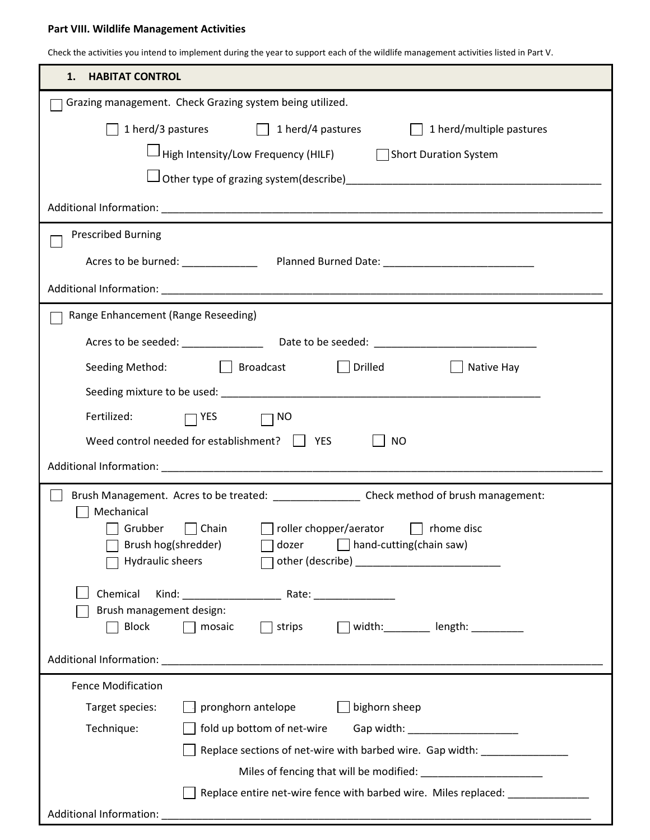#### Part VIII. Wildlife Management Activities

Check the activities you intend to implement during the year to support each of the wildlife management activities listed in Part V.

| <b>HABITAT CONTROL</b><br>1.                                                                              |
|-----------------------------------------------------------------------------------------------------------|
| Grazing management. Check Grazing system being utilized.                                                  |
| 1 herd/3 pastures 1 herd/4 pastures<br>$\Box$ 1 herd/multiple pastures                                    |
| High Intensity/Low Frequency (HILF) Short Duration System                                                 |
|                                                                                                           |
|                                                                                                           |
| <b>Prescribed Burning</b>                                                                                 |
|                                                                                                           |
|                                                                                                           |
| Range Enhancement (Range Reseeding)                                                                       |
|                                                                                                           |
| Seeding Method: Seeding Method: Seeding Method:<br>  Native Hay                                           |
|                                                                                                           |
| Fertilized: $\Box$ YES $\Box$ NO                                                                          |
| Weed control needed for establishment? $\parallel$ YES<br><b>NO</b>                                       |
|                                                                                                           |
| Brush Management. Acres to be treated: ___________________ Check method of brush management:              |
| Mechanical                                                                                                |
| Grubber Chain Interchopper/aerator Intervention<br>dozer 1 hand-cutting(chain saw)<br>Brush hog(shredder) |
| Hydraulic sheers                                                                                          |
| Chemical                                                                                                  |
| Brush management design:                                                                                  |
| width: length: _________ length:<br><b>Block</b><br>$\Box$ mosaic<br>$\Box$ strips                        |
|                                                                                                           |
| <b>Fence Modification</b>                                                                                 |
| bighorn sheep<br>pronghorn antelope<br>Target species:                                                    |
| Technique:<br>fold up bottom of net-wire<br>Gap width: ______________________                             |
| Replace sections of net-wire with barbed wire. Gap width: ________________                                |
| Replace entire net-wire fence with barbed wire. Miles replaced:                                           |
| Additional Information:                                                                                   |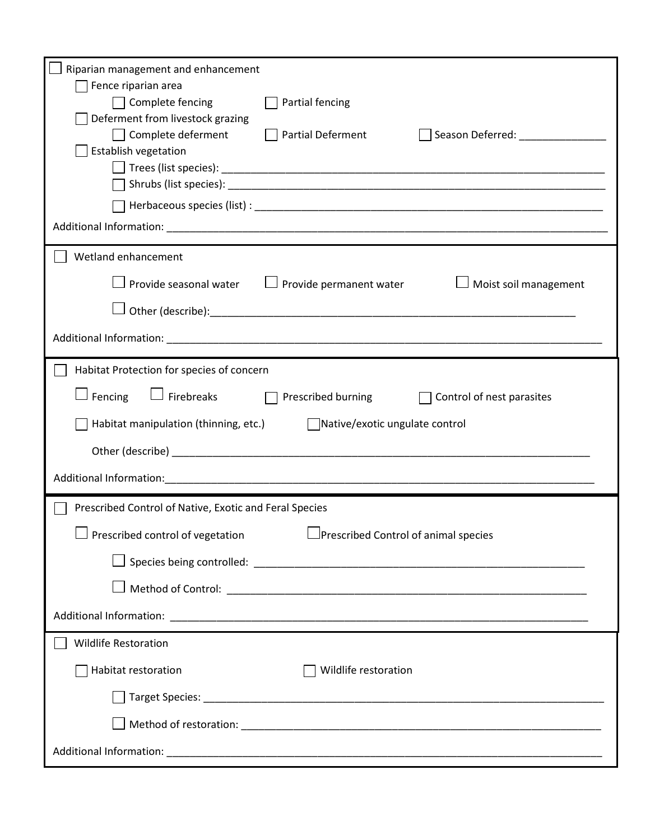| Riparian management and enhancement                                                                                       |
|---------------------------------------------------------------------------------------------------------------------------|
| Fence riparian area                                                                                                       |
| $\Box$ Complete fencing<br>Partial fencing<br>Deferment from livestock grazing                                            |
| $\Box$<br>$\Box$ Complete deferment<br><b>Partial Deferment</b><br>Season Deferred: National Property of Season Deferred: |
| Establish vegetation                                                                                                      |
|                                                                                                                           |
|                                                                                                                           |
|                                                                                                                           |
|                                                                                                                           |
| Wetland enhancement                                                                                                       |
| $\Box$ Provide seasonal water $\hskip10mm \Box$ Provide permanent water<br>$\Box$ Moist soil management                   |
|                                                                                                                           |
|                                                                                                                           |
| Habitat Protection for species of concern                                                                                 |
| $\Box$ Fencing<br>$\Box$ Firebreaks $\Box$ Prescribed burning<br>$\Box$ Control of nest parasites                         |
| Habitat manipulation (thinning, etc.) $\Box$ Native/exotic ungulate control                                               |
|                                                                                                                           |
|                                                                                                                           |
|                                                                                                                           |
| Prescribed Control of Native, Exotic and Feral Species                                                                    |
| □Prescribed Control of animal species<br>$\Box$ Prescribed control of vegetation                                          |
|                                                                                                                           |
|                                                                                                                           |
|                                                                                                                           |
| <b>Wildlife Restoration</b>                                                                                               |
|                                                                                                                           |
| Habitat restoration<br>Wildlife restoration                                                                               |
|                                                                                                                           |
|                                                                                                                           |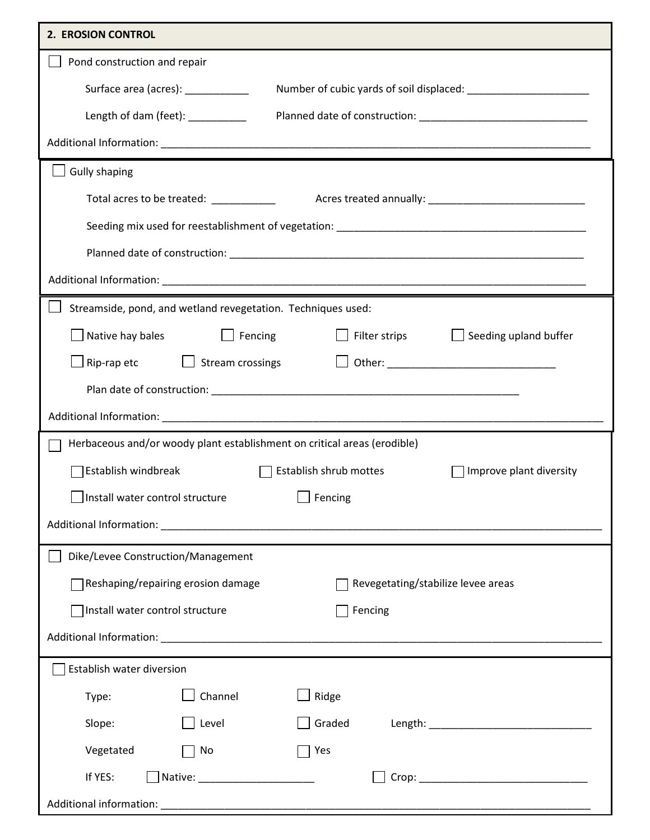| 2. EROSION CONTROL                                                                                |
|---------------------------------------------------------------------------------------------------|
| Pond construction and repair                                                                      |
| Surface area (acres): ___________                                                                 |
| Length of dam (feet): __________                                                                  |
|                                                                                                   |
| <b>Gully shaping</b>                                                                              |
| Total acres to be treated: ____________                                                           |
|                                                                                                   |
|                                                                                                   |
|                                                                                                   |
| Streamside, pond, and wetland revegetation. Techniques used:                                      |
| $\Box$ Filter strips<br>$\Box$ Native hay bales<br>$\Box$ Fencing<br>$\Box$ Seeding upland buffer |
| $\mathsf{Rip}\text{-}\mathsf{rap}\text{-}\mathsf{etc}$ $\Box$ Stream crossings<br>$\Box$          |
|                                                                                                   |
|                                                                                                   |
| Herbaceous and/or woody plant establishment on critical areas (erodible)                          |
| Establish windbreak<br>Establish shrub mottes<br>Improve plant diversity                          |
| $\Box$ Fencing<br>Install water control structure                                                 |
|                                                                                                   |
| Dike/Levee Construction/Management                                                                |
| Reshaping/repairing erosion damage<br>Revegetating/stabilize levee areas                          |
| Install water control structure<br>Fencing                                                        |
|                                                                                                   |
| Establish water diversion                                                                         |
| Channel<br>Ridge<br>Type:                                                                         |
| Graded<br>Level<br>Slope:                                                                         |
| Vegetated<br>No<br>Yes                                                                            |
| If YES:                                                                                           |
|                                                                                                   |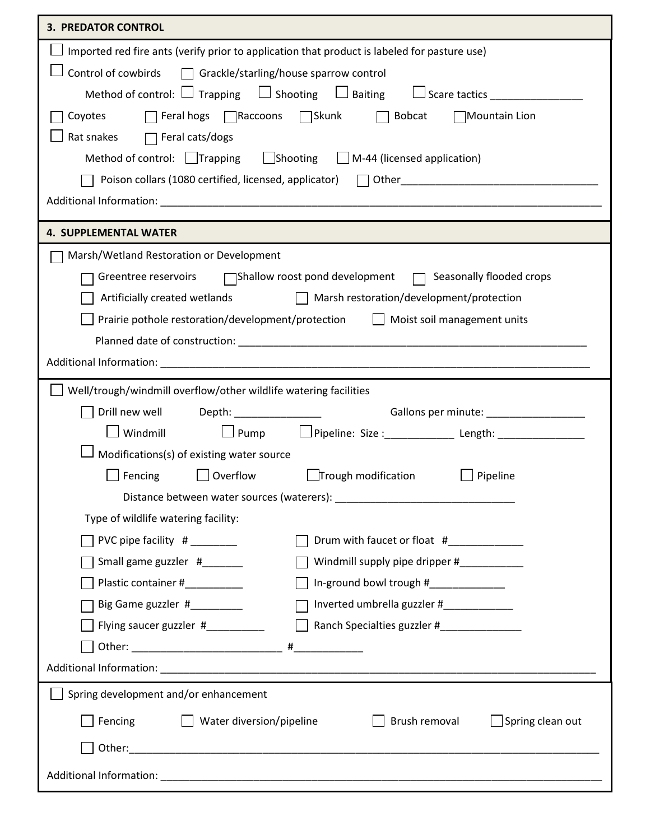| <b>3. PREDATOR CONTROL</b>                                                                                   |  |  |
|--------------------------------------------------------------------------------------------------------------|--|--|
| Imported red fire ants (verify prior to application that product is labeled for pasture use)                 |  |  |
| Control of cowbirds $\Box$ Grackle/starling/house sparrow control                                            |  |  |
| Method of control: $\Box$ Trapping $\Box$ Shooting $\Box$ Baiting $\Box$ Scare tactics                       |  |  |
| $\lceil$ Feral hogs $\lceil$ Raccoons $\lceil$ Skunk $\lceil$<br>Coyotes<br>Bobcat<br>Mountain Lion          |  |  |
| Rat snakes<br>$\Box$ Feral cats/dogs                                                                         |  |  |
| $\Box$ Shooting $\Box$ M-44 (licensed application)<br>Method of control: $\Box$ Trapping                     |  |  |
| Poison collars (1080 certified, licensed, applicator) 7 Other 2010 01-1000 01-2010 10000 01-2010 10000 01:47 |  |  |
|                                                                                                              |  |  |
| <b>4. SUPPLEMENTAL WATER</b>                                                                                 |  |  |
| Marsh/Wetland Restoration or Development                                                                     |  |  |
| Greentree reservoirs<br>TShallow roost pond development T Seasonally flooded crops                           |  |  |
| Artificially created wetlands Marsh restoration/development/protection                                       |  |  |
| Prairie pothole restoration/development/protection     Moist soil management units                           |  |  |
|                                                                                                              |  |  |
|                                                                                                              |  |  |
| Well/trough/windmill overflow/other wildlife watering facilities                                             |  |  |
| Drill new well                                                                                               |  |  |
| Windmill                                                                                                     |  |  |
| Modifications(s) of existing water source                                                                    |  |  |
| $\Box$ Trough modification<br>$\Box$ Overflow<br>Pipeline<br>Fencing                                         |  |  |
|                                                                                                              |  |  |
| Type of wildlife watering facility:                                                                          |  |  |
| Drum with faucet or float #<br>PVC pipe facility $#$ _______                                                 |  |  |
| Small game guzzler #______<br>Windmill supply pipe dripper #___________                                      |  |  |
| In-ground bowl trough #_____________<br>Plastic container #__________                                        |  |  |
| Big Game guzzler #__________<br>Inverted umbrella guzzler #_____________                                     |  |  |
| Flying saucer guzzler #<br>Ranch Specialties guzzler #______________                                         |  |  |
|                                                                                                              |  |  |
|                                                                                                              |  |  |
| Spring development and/or enhancement                                                                        |  |  |
| Fencing<br>Brush removal<br>Spring clean out<br>Water diversion/pipeline                                     |  |  |
| Other:                                                                                                       |  |  |
|                                                                                                              |  |  |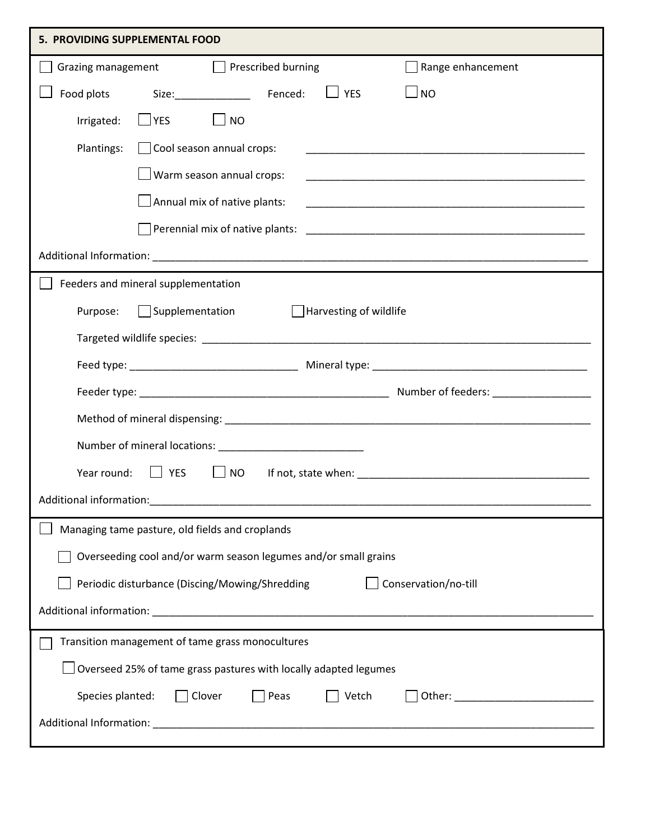| 5. PROVIDING SUPPLEMENTAL FOOD                                                                                                                                                                                                                                               |  |  |
|------------------------------------------------------------------------------------------------------------------------------------------------------------------------------------------------------------------------------------------------------------------------------|--|--|
| Grazing management Prescribed burning<br>Range enhancement                                                                                                                                                                                                                   |  |  |
| $\Box$ No<br>$\Box$ YES<br>Food plots                                                                                                                                                                                                                                        |  |  |
| $\Box$ YES<br>$\Box$ NO<br>Irrigated:                                                                                                                                                                                                                                        |  |  |
| Plantings:<br>Cool season annual crops:                                                                                                                                                                                                                                      |  |  |
| $\Box$ Warm season annual crops:                                                                                                                                                                                                                                             |  |  |
| $\Box$ Annual mix of native plants:                                                                                                                                                                                                                                          |  |  |
|                                                                                                                                                                                                                                                                              |  |  |
|                                                                                                                                                                                                                                                                              |  |  |
| Feeders and mineral supplementation                                                                                                                                                                                                                                          |  |  |
| $\Box$ Supplementation<br>Harvesting of wildlife<br>Purpose:                                                                                                                                                                                                                 |  |  |
|                                                                                                                                                                                                                                                                              |  |  |
|                                                                                                                                                                                                                                                                              |  |  |
|                                                                                                                                                                                                                                                                              |  |  |
|                                                                                                                                                                                                                                                                              |  |  |
|                                                                                                                                                                                                                                                                              |  |  |
| Year round:<br>$ $ $ $ YES<br><b>NO</b>                                                                                                                                                                                                                                      |  |  |
| Additional information:                                                                                                                                                                                                                                                      |  |  |
| Managing tame pasture, old fields and croplands                                                                                                                                                                                                                              |  |  |
| Overseeding cool and/or warm season legumes and/or small grains                                                                                                                                                                                                              |  |  |
| Periodic disturbance (Discing/Mowing/Shredding<br>Conservation/no-till                                                                                                                                                                                                       |  |  |
|                                                                                                                                                                                                                                                                              |  |  |
| Transition management of tame grass monocultures                                                                                                                                                                                                                             |  |  |
| Overseed 25% of tame grass pastures with locally adapted legumes                                                                                                                                                                                                             |  |  |
| Species planted:<br>Clover<br>Peas<br>Vetch<br>Other: University of the Community of the Community of the Community of the Community of the Community of the Community of the Community of the Community of the Community of the Community of the Community of the Community |  |  |
|                                                                                                                                                                                                                                                                              |  |  |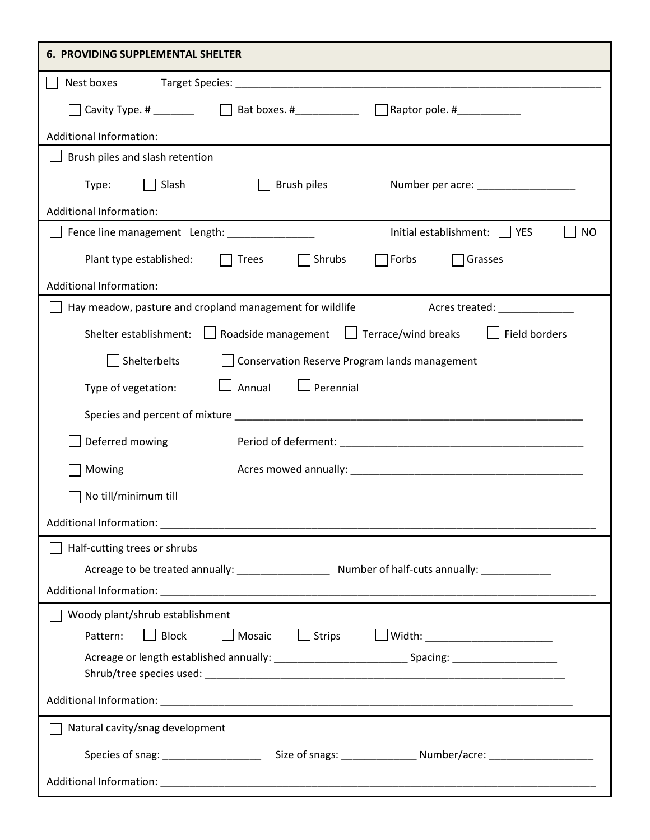| <b>6. PROVIDING SUPPLEMENTAL SHELTER</b>                                                                       |
|----------------------------------------------------------------------------------------------------------------|
| Nest boxes                                                                                                     |
| □ Bat boxes. #______________  □ Raptor pole. #____________<br>Cavity Type. # ________                          |
| <b>Additional Information:</b>                                                                                 |
| Brush piles and slash retention                                                                                |
| Brush piles<br>Slash<br>Type:<br>Number per acre: ____________________                                         |
| <b>Additional Information:</b>                                                                                 |
| Initial establishment:<br>Fence line management Length: _______________<br><b>YES</b><br><b>NO</b>             |
| Plant type established:<br>Shrubs<br>$\sqcap$ Forbs<br>Grasses<br><b>Trees</b>                                 |
| <b>Additional Information:</b>                                                                                 |
| Hay meadow, pasture and cropland management for wildlife<br>Acres treated: _______________                     |
| <b>Field borders</b><br>$\Box$ Roadside management $\Box$ Terrace/wind breaks<br>Shelter establishment:        |
| Shelterbelts<br>$\Box$ Conservation Reserve Program lands management                                           |
| Perennial<br>Annual<br>Type of vegetation:                                                                     |
|                                                                                                                |
| Deferred mowing                                                                                                |
| Mowing                                                                                                         |
| No till/minimum till                                                                                           |
|                                                                                                                |
| Half-cutting trees or shrubs                                                                                   |
|                                                                                                                |
|                                                                                                                |
| Woody plant/shrub establishment                                                                                |
| $\Box$ Block<br>Mosaic<br>$\Box$ Strips<br>□ Width: ________________________<br>Pattern:                       |
| Acreage or length established annually: ________________________________Spacing: _____________________________ |
|                                                                                                                |
| Natural cavity/snag development                                                                                |
| Species of snag: ___________________________Size of snags: ___________________Number/acre: ___________________ |
|                                                                                                                |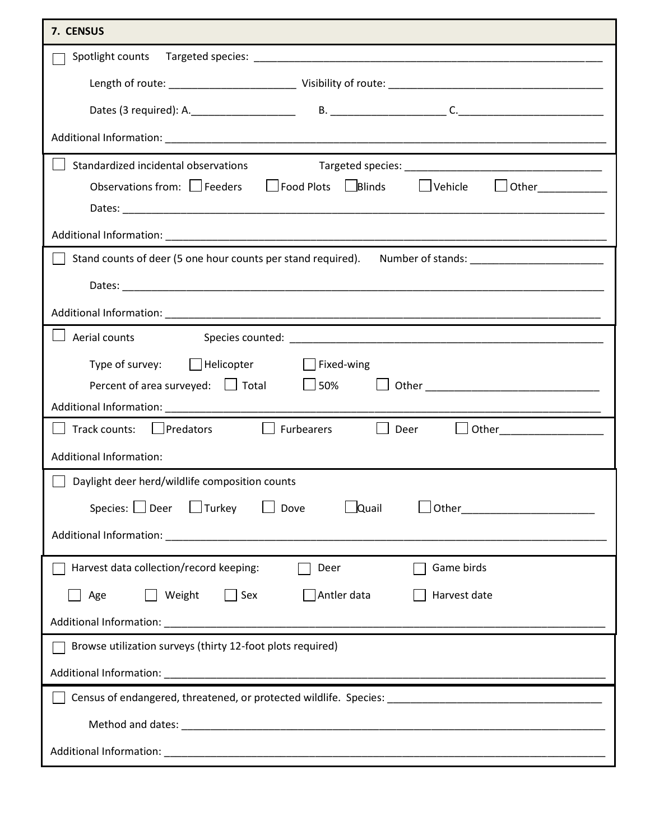| 7. CENSUS                                                                                                 |  |  |
|-----------------------------------------------------------------------------------------------------------|--|--|
|                                                                                                           |  |  |
|                                                                                                           |  |  |
|                                                                                                           |  |  |
|                                                                                                           |  |  |
| Standardized incidental observations                                                                      |  |  |
| Observations from: Feeders Food Plots Blinds<br>Vehicle<br>$\Box$ Other                                   |  |  |
|                                                                                                           |  |  |
| Stand counts of deer (5 one hour counts per stand required). Number of stands: ____________________       |  |  |
|                                                                                                           |  |  |
|                                                                                                           |  |  |
| Aerial counts                                                                                             |  |  |
| Type of survey: $\Box$ Helicopter<br>Fixed-wing                                                           |  |  |
| Percent of area surveyed: $\Box$ Total $\Box$ 50%                                                         |  |  |
|                                                                                                           |  |  |
| <u>  Other _______________</u><br>Track counts:   Predators<br><b>Example 1</b> Furbearers<br>$\Box$ Deer |  |  |
| Additional Information:                                                                                   |  |  |
| Daylight deer herd/wildlife composition counts                                                            |  |  |
| Species: $\Box$ Deer $\Box$ Turkey<br>$\Box$ Quail<br>$\Box$ Dove                                         |  |  |
|                                                                                                           |  |  |
| Harvest data collection/record keeping:<br>Game birds<br>Deer                                             |  |  |
| $\Box$ Sex<br>Antler data<br>Harvest date<br>$\sqsupset$ Age<br>  Weight                                  |  |  |
|                                                                                                           |  |  |
| Browse utilization surveys (thirty 12-foot plots required)                                                |  |  |
|                                                                                                           |  |  |
| Census of endangered, threatened, or protected wildlife. Species: __________________________________      |  |  |
|                                                                                                           |  |  |
|                                                                                                           |  |  |